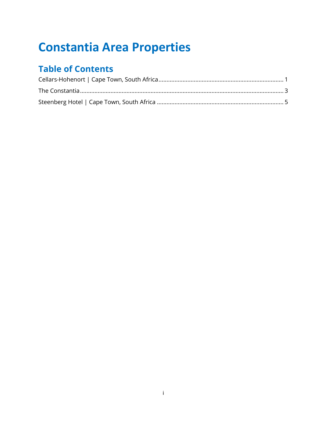# **Constantia Area Properties**

# **Table of Contents**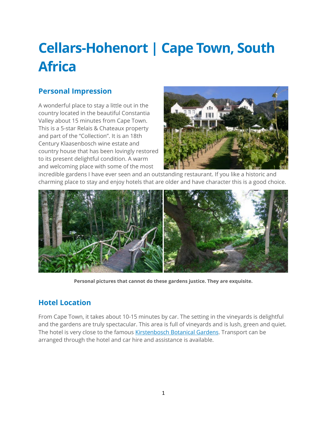# <span id="page-1-0"></span>**Cellars-Hohenort | Cape Town, South Africa**

#### **Personal Impression**

A wonderful place to stay a little out in the country located in the beautiful Constantia Valley about 15 minutes from Cape Town. This is a 5-star Relais & Chateaux property and part of the "Collection". It is an 18th Century Klaasenbosch wine estate and country house that has been lovingly restored to its present delightful condition. A warm and welcoming place with some of the most



incredible gardens I have ever seen and an outstanding restaurant. If you like a historic and charming place to stay and enjoy hotels that are older and have character this is a good choice.



**Personal pictures that cannot do these gardens justice. They are exquisite.**

#### **Hotel Location**

From Cape Town, it takes about 10-15 minutes by car. The setting in the vineyards is delightful and the gardens are truly spectacular. This area is full of vineyards and is lush, green and quiet. The hotel is very close to the famous [Kirstenbosch Botanical Gardens.](http://www.sanbi.org/gardens/kirstenbosch) Transport can be arranged through the hotel and car hire and assistance is available.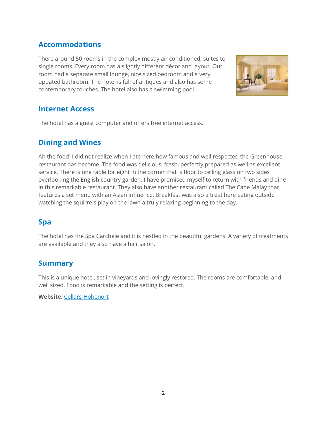# **Accommodations**

There around 50 rooms in the complex mostly air conditioned; suites to single rooms. Every room has a slightly different décor and layout. Our room had a separate small lounge, nice sized bedroom and a very updated bathroom. The hotel is full of antiques and also has some contemporary touches. The hotel also has a swimming pool.



#### **Internet Access**

The hotel has a guest computer and offers free internet access.

# **Dining and Wines**

Ah the food! I did not realize when I ate here how famous and well respected the Greenhouse restaurant has become. The food was delicious, fresh, perfectly prepared as well as excellent service. There is one table for eight in the corner that is floor to ceiling glass on two sides overlooking the English country garden. I have promised myself to return with friends and dine in this remarkable restaurant. They also have another restaurant called The Cape Malay that features a set menu with an Asian influence. Breakfast was also a treat here eating outside watching the squirrels play on the lawn a truly relaxing beginning to the day.

# **Spa**

The hotel has the Spa Carchele and it is nestled in the beautiful gardens. A variety of treatments are available and they also have a hair salon.

#### **Summary**

This is a unique hotel, set in vineyards and lovingly restored. The rooms are comfortable, and well sized. Food is remarkable and the setting is perfect.

**Website:** [Cellars-Hohenort](http://www.collectionmcgrath.com/cellars/)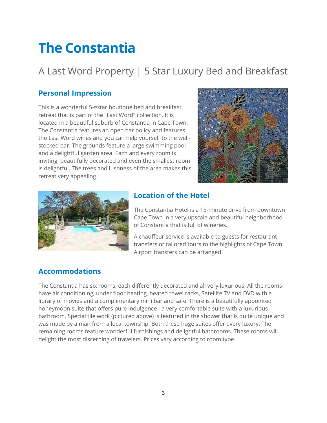# <span id="page-3-0"></span>**The Constantia**

# A Last Word Property | 5 Star Luxury Bed and Breakfast

## **Personal Impression**

This is a wonderful 5-=star boutique bed and breakfast retreat that is part of the "Last Word" collection. It is located in a beautiful suburb of Constantia in Cape Town. The Constantia features an open bar policy and features the Last Word wines and you can help yourself to the wellstocked bar. The grounds feature a large swimming pool and a delightful garden area. Each and every room is inviting, beautifully decorated and even the smallest room is delightful. The trees and lushness of the area makes this retreat very appealing.





#### **Location of the Hotel**

The Constantia Hotel is a 15-minute drive from downtown Cape Town in a very upscale and beautiful neighborhood of Constantia that is full of wineries.

A chauffeur service is available to guests for restaurant transfers or tailored tours to the highlights of Cape Town. Airport transfers can be arranged.

# **Accommodations**

The Constantia has six rooms, each differently decorated and all very luxurious. All the rooms have air conditioning, under floor heating, heated towel racks, Satellite TV and DVD with a library of movies and a complimentary mini bar and safe. There is a beautifully appointed honeymoon suite that offers pure indulgence - a very comfortable suite with a luxurious bathroom. Special tile work (pictured above) is featured in the shower that is quite unique and was made by a man from a local township. Both these huge suites offer every luxury. The remaining rooms feature wonderful furnishings and delightful bathrooms. These rooms will delight the most discerning of travelers. Prices vary according to room type.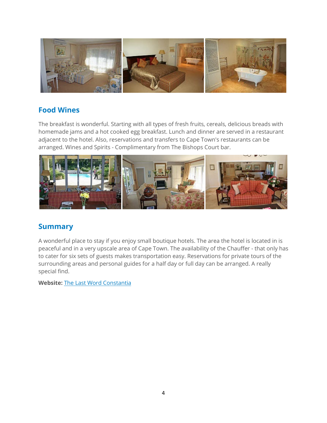

#### **Food Wines**

The breakfast is wonderful. Starting with all types of fresh fruits, cereals, delicious breads with homemade jams and a hot cooked egg breakfast. Lunch and dinner are served in a restaurant adjacent to the hotel. Also, reservations and transfers to Cape Town's restaurants can be arranged. Wines and Spirits - Complimentary from The Bishops Court bar.



### **Summary**

A wonderful place to stay if you enjoy small boutique hotels. The area the hotel is located in is peaceful and in a very upscale area of Cape Town. The availability of the Chauffer - that only has to cater for six sets of guests makes transportation easy. Reservations for private tours of the surrounding areas and personal guides for a half day or full day can be arranged. A really special find.

**Website:** [The Last Word Constantia](http://www.thelastword.co.za/retreats.htm?sm%5bp1%5d%5bcategory%5d=332&sm%5bb1%5d%5bcategory%5d=332)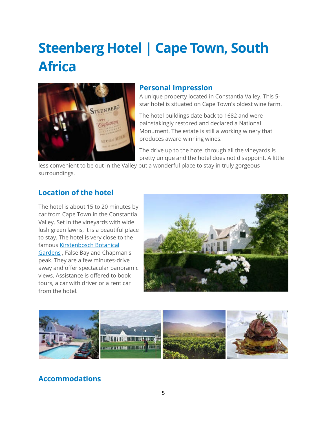# <span id="page-5-0"></span>**Steenberg Hotel | Cape Town, South Africa**



#### **Personal Impression**

A unique property located in Constantia Valley. This 5 star hotel is situated on Cape Town's oldest wine farm.

The hotel buildings date back to 1682 and were painstakingly restored and declared a National Monument. The estate is still a working winery that produces award winning wines.

The drive up to the hotel through all the vineyards is pretty unique and the hotel does not disappoint. A little

less convenient to be out in the Valley but a wonderful place to stay in truly gorgeous surroundings.

#### **Location of the hotel**

The hotel is about 15 to 20 minutes by car from Cape Town in the Constantia Valley. Set in the vineyards with wide lush green lawns, it is a beautiful place to stay. The hotel is very close to the famous [Kirstenbosch Botanical](http://www.sanbi.org/gardens/kirstenbosch)  [Gardens](http://www.sanbi.org/gardens/kirstenbosch) , False Bay and Chapman's peak. They are a few minutes-drive away and offer spectacular panoramic views. Assistance is offered to book tours, a car with driver or a rent car from the hotel.





# **Accommodations**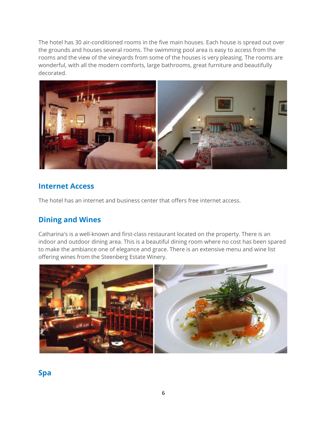The hotel has 30 air-conditioned rooms in the five main houses. Each house is spread out over the grounds and houses several rooms. The swimming pool area is easy to access from the rooms and the view of the vineyards from some of the houses is very pleasing. The rooms are wonderful, with all the modern comforts, large bathrooms, great furniture and beautifully decorated.



# **Internet Access**

The hotel has an internet and business center that offers free internet access.

### **Dining and Wines**

Catharina's is a well-known and first-class restaurant located on the property. There is an indoor and outdoor dining area. This is a beautiful dining room where no cost has been spared to make the ambiance one of elegance and grace. There is an extensive menu and wine list offering wines from the Steenberg Estate Winery.



**Spa**